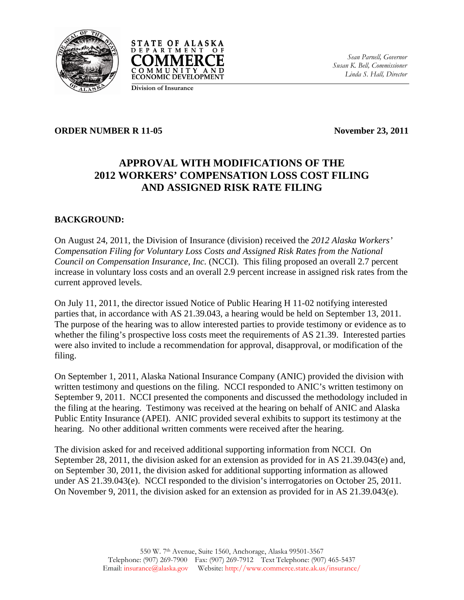



*Sean Parnell, Governor Susan K. Bell, Commissioner Linda S. Hall, Director*

**Division of Insurance**

#### **ORDER NUMBER R 11-05** November 23, 2011

# **APPROVAL WITH MODIFICATIONS OF THE 2012 WORKERS' COMPENSATION LOSS COST FILING AND ASSIGNED RISK RATE FILING**

## **BACKGROUND:**

On August 24, 2011, the Division of Insurance (division) received the *2012 Alaska Workers' Compensation Filing for Voluntary Loss Costs and Assigned Risk Rates from the National Council on Compensation Insurance, Inc.* (NCCI). This filing proposed an overall 2.7 percent increase in voluntary loss costs and an overall 2.9 percent increase in assigned risk rates from the current approved levels.

On July 11, 2011, the director issued Notice of Public Hearing H 11-02 notifying interested parties that, in accordance with AS 21.39.043, a hearing would be held on September 13, 2011. The purpose of the hearing was to allow interested parties to provide testimony or evidence as to whether the filing's prospective loss costs meet the requirements of AS 21.39. Interested parties were also invited to include a recommendation for approval, disapproval, or modification of the filing.

On September 1, 2011, Alaska National Insurance Company (ANIC) provided the division with written testimony and questions on the filing. NCCI responded to ANIC's written testimony on September 9, 2011. NCCI presented the components and discussed the methodology included in the filing at the hearing. Testimony was received at the hearing on behalf of ANIC and Alaska Public Entity Insurance (APEI). ANIC provided several exhibits to support its testimony at the hearing. No other additional written comments were received after the hearing.

The division asked for and received additional supporting information from NCCI. On September 28, 2011, the division asked for an extension as provided for in AS 21.39.043(e) and, on September 30, 2011, the division asked for additional supporting information as allowed under AS 21.39.043(e). NCCI responded to the division's interrogatories on October 25, 2011. On November 9, 2011, the division asked for an extension as provided for in AS 21.39.043(e).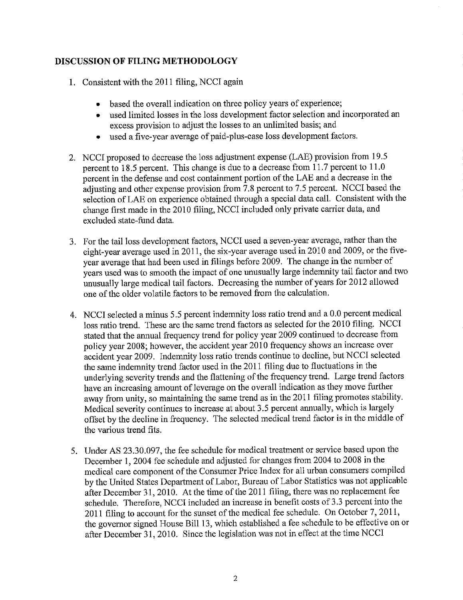## DISCUSSION OF FILING METHODOLOGY

- 1. Consistent with the 2011 filing, NCCI again
	- based the overall indication on three policy years of experience;
	- used limited losses in the loss development factor selection and incorporated an excess provision to adjust the losses to an unlimited basis; and
	- used a five-year average of paid-plus-case loss development factors.
- 2. NCCI proposed to decrease the loss adjustment expense (LAE) provision from 19.5 percent to 18.5 percent. This change is due to a decrease from 11.7 percent to 11.0 percent in the defense and cost containment portion of the LAE and a decrease in the adjusting and other expense provision from 7.8 percent to 7.5 percent. NCCI based the selection of LAE on experience obtained through a special data call. Consistent with the change first made in the 2010 filing, NCCI included only private carrier data, and excluded state-fund data.
- 3. For the tail loss development factors, NCCI used a seven-year average, rather than the eight-year average used in 2011, the six-year average used in 2010 and 2009, or the fiveyear average that had been used in filings before 2009. The change in the number of years used was to smooth the impact of one unusually large indemnity tail factor and two unusually large medical tail factors. Decreasing the number of years for 2012 allowed one of the older volatile factors to be removed from the calculation.
- 4. NCCI selected a minus 5.5 percent indemnity loss ratio trend and a 0.0 percent medical loss ratio trend. These are the same trend factors as selected for the 2010 filing. NCCI stated that the annual frequency trend for policy year 2009 continued to decrease from policy year 2008; however, the accident year 2010 frequency shows an increase over accident year 2009. Indemnity loss ratio trends continue to decline, but NCCI selected the same indemnity trend factor used in the 2011 filing due to fluctuations in the underlying severity trends and the flattening of the frequency trend. Large trend factors have an increasing amount of leverage on the overall indication as they move further away from unity, so maintaining the same trend as in the 2011 filing promotes stability. Medical severity continues to increase at about 3.5 percent annually, which is largely offset by the decline in frequency. The selected medical trend factor is in the middle of the various trend fits.
- 5. Under AS 23.30.097, the fee schedule for medical treatment or service based upon the December 1, 2004 fee schedule and adjusted for changes from 2004 to 2008 in the medical care component of the Consumer Price Index for all urban consumers compiled by the United States Department of Labor, Bureau of Labor Statistics was not applicable after December 31, 2010. At the time of the 2011 filing, there was no replacement fee schedule. Therefore, NCCI included an increase in benefit costs of 3.3 percent into the 2011 filing to account for the sunset of the medical fee schedule. On October 7, 2011, the governor signed House Bill 13, which established a fee schedule to be effective on or after December 31, 2010. Since the legislation was not in effect at the time NCCI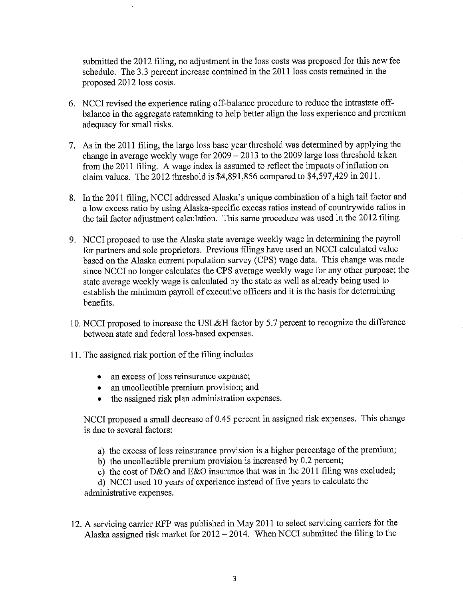submitted the 2012 filing, no adjustment in the loss costs was proposed for this new fee schedule. The 3.3 percent increase contained in the 2011 loss costs remained in the proposed 2012 loss costs.

- 6. NCCI revised the experience rating off-balance procedure to reduce the intrastate offbalance in the aggregate ratemaking to help better align the loss experience and premium adequacy for small risks.
- 7. As in the 2011 filing, the large loss base year threshold was determined by applying the change in average weekly wage for  $2009 - 2013$  to the 2009 large loss threshold taken from the 2011 filing. A wage index is assumed to reflect the impacts of inflation on claim values. The 2012 threshold is \$4,891,856 compared to \$4,597,429 in 2011.
- 8. In the 2011 filing, NCCI addressed Alaska's unique combination of a high tail factor and a low excess ratio by using Alaska-specific excess ratios instead of countrywide ratios in the tail factor adjustment calculation. This same procedure was used in the 2012 filing.
- 9. NCCI proposed to use the Alaska state average weekly wage in determining the payroll for partners and sole proprietors. Previous filings have used an NCCI calculated value based on the Alaska current population survey (CPS) wage data. This change was made since NCCI no longer calculates the CPS average weekly wage for any other purpose; the state average weekly wage is calculated by the state as well as already being used to establish the minimum payroll of executive officers and it is the basis for determining henefits.
- 10. NCCI proposed to increase the USL&H factor by 5.7 percent to recognize the difference between state and federal loss-based expenses.
- 11. The assigned risk portion of the filing includes
	- an excess of loss reinsurance expense;
	- an uncollectible premium provision; and
	- the assigned risk plan administration expenses.

NCCI proposed a small decrease of 0.45 percent in assigned risk expenses. This change is due to several factors:

- a) the excess of loss reinsurance provision is a higher percentage of the premium;
- b) the uncollectible premium provision is increased by  $0.2$  percent;
- c) the cost of D&O and E&O insurance that was in the 2011 filing was excluded;

d) NCCI used 10 years of experience instead of five years to calculate the administrative expenses.

12. A servicing carrier RFP was published in May 2011 to select servicing carriers for the Alaska assigned risk market for  $2012 - 2014$ . When NCCI submitted the filing to the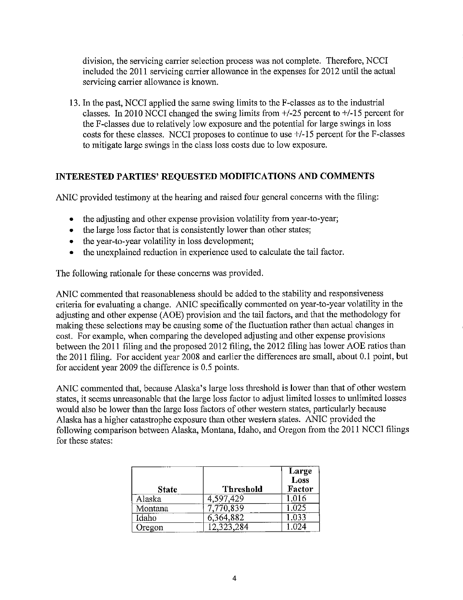division, the servicing carrier selection process was not complete. Therefore, NCCI included the 2011 servicing carrier allowance in the expenses for 2012 until the actual servicing carrier allowance is known.

13. In the past, NCCI applied the same swing limits to the F-classes as to the industrial classes. In 2010 NCCI changed the swing limits from  $+/25$  percent to  $+/15$  percent for the F-classes due to relatively low exposure and the potential for large swings in loss costs for these classes. NCCI proposes to continue to use +/-15 percent for the F-classes to mitigate large swings in the class loss costs due to low exposure.

#### INTERESTED PARTIES' REQUESTED MODIFICATIONS AND COMMENTS

ANIC provided testimony at the hearing and raised four general concerns with the filing:

- the adjusting and other expense provision volatility from year-to-year;
- the large loss factor that is consistently lower than other states;
- the year-to-year volatility in loss development;
- the unexplained reduction in experience used to calculate the tail factor.

The following rationale for these concerns was provided.

ANIC commented that reasonableness should be added to the stability and responsiveness criteria for evaluating a change. ANIC specifically commented on year-to-year volatility in the adjusting and other expense (AOE) provision and the tail factors, and that the methodology for making these selections may be causing some of the fluctuation rather than actual changes in cost. For example, when comparing the developed adjusting and other expense provisions between the 2011 filing and the proposed 2012 filing, the 2012 filing has lower AOE ratios than the 2011 filing. For accident year 2008 and earlier the differences are small, about 0.1 point, but for accident year 2009 the difference is 0.5 points.

ANIC commented that, because Alaska's large loss threshold is lower than that of other western states, it seems unreasonable that the large loss factor to adjust limited losses to unlimited losses would also be lower than the large loss factors of other western states, particularly because Alaska has a higher catastrophe exposure than other western states. ANIC provided the following comparison between Alaska, Montana, Idaho, and Oregon from the 2011 NCCI filings for these states:

| <b>State</b> | <b>Threshold</b> | Large<br>$\overline{\text{Loss}}$<br>Factor |
|--------------|------------------|---------------------------------------------|
| Alaska       | 4,597,429        | 1.016                                       |
| Montana      | 7,770,839        | 1.025                                       |
| Idaho        | 6,364,882        | 1,033                                       |
| Oregon       | 12,323,284       |                                             |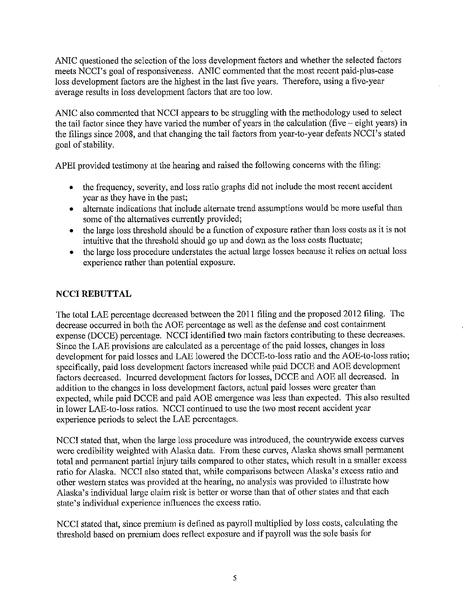ANIC questioned the selection of the loss development factors and whether the selected factors meets NCCI's goal of responsiveness. ANIC commented that the most recent paid-plus-case loss development factors are the highest in the last five years. Therefore, using a five-year average results in loss development factors that are too low.

ANIC also commented that NCCI appears to be struggling with the methodology used to select the tail factor since they have varied the number of years in the calculation (five  $-$  eight years) in the filings since 2008, and that changing the tail factors from year-to-year defeats NCCI's stated goal of stability.

APEI provided testimony at the hearing and raised the following concerns with the filing:

- the frequency, severity, and loss ratio graphs did not include the most recent accident year as they have in the past;
- alternate indications that include alternate trend assumptions would be more useful than some of the alternatives currently provided;
- the large loss threshold should be a function of exposure rather than loss costs as it is not intuitive that the threshold should go up and down as the loss costs fluctuate;
- the large loss procedure understates the actual large losses because it relies on actual loss experience rather than potential exposure.

# **NCCI REBUTTAL**

The total LAE percentage decreased between the 2011 filing and the proposed 2012 filing. The decrease occurred in both the AOE percentage as well as the defense and cost containment expense (DCCE) percentage. NCCI identified two main factors contributing to these decreases. Since the LAE provisions are calculated as a percentage of the paid losses, changes in loss development for paid losses and LAE lowered the DCCE-to-loss ratio and the AOE-to-loss ratio; specifically, paid loss development factors increased while paid DCCE and AOE development factors decreased. Incurred development factors for losses, DCCE and AOE all decreased. In addition to the changes in loss development factors, actual paid losses were greater than expected, while paid DCCE and paid AOE emergence was less than expected. This also resulted in lower LAE-to-loss ratios. NCCI continued to use the two most recent accident year experience periods to select the LAE percentages.

NCCI stated that, when the large loss procedure was introduced, the countrywide excess curves were credibility weighted with Alaska data. From these curves, Alaska shows small permanent total and permanent partial injury tails compared to other states, which result in a smaller excess ratio for Alaska. NCCI also stated that, while comparisons between Alaska's excess ratio and other western states was provided at the hearing, no analysis was provided to illustrate how Alaska's individual large claim risk is better or worse than that of other states and that each state's individual experience influences the excess ratio.

NCCI stated that, since premium is defined as payroll multiplied by loss costs, calculating the threshold based on premium does reflect exposure and if payroll was the sole basis for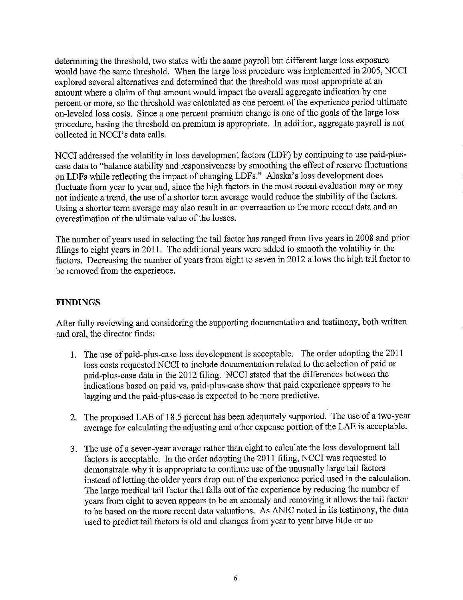determining the threshold, two states with the same payroll but different large loss exposure would have the same threshold. When the large loss procedure was implemented in 2005, NCCI explored several alternatives and determined that the threshold was most appropriate at an amount where a claim of that amount would impact the overall aggregate indication by one percent or more, so the threshold was calculated as one percent of the experience period ultimate on-leveled loss costs. Since a one percent premium change is one of the goals of the large loss procedure, basing the threshold on premium is appropriate. In addition, aggregate payroll is not collected in NCCI's data calls.

NCCI addressed the volatility in loss development factors (LDF) by continuing to use paid-pluscase data to "balance stability and responsiveness by smoothing the effect of reserve fluctuations on LDFs while reflecting the impact of changing LDFs." Alaska's loss development does fluctuate from year to year and, since the high factors in the most recent evaluation may or may not indicate a trend, the use of a shorter term average would reduce the stability of the factors. Using a shorter term average may also result in an overreaction to the more recent data and an overestimation of the ultimate value of the losses.

The number of years used in selecting the tail factor has ranged from five years in 2008 and prior filings to eight years in 2011. The additional years were added to smooth the volatility in the factors. Decreasing the number of years from eight to seven in 2012 allows the high tail factor to be removed from the experience.

# **FINDINGS**

After fully reviewing and considering the supporting documentation and testimony, both written and oral, the director finds:

- 1. The use of paid-plus-case loss development is acceptable. The order adopting the 2011 loss costs requested NCCI to include documentation related to the selection of paid or paid-plus-case data in the 2012 filing. NCCI stated that the differences between the indications based on paid vs. paid-plus-case show that paid experience appears to be lagging and the paid-plus-case is expected to be more predictive.
- 2. The proposed LAE of 18.5 percent has been adequately supported. The use of a two-year average for calculating the adjusting and other expense portion of the LAE is acceptable.
- 3. The use of a seven-year average rather than eight to calculate the loss development tail factors is acceptable. In the order adopting the 2011 filing, NCCI was requested to demonstrate why it is appropriate to continue use of the unusually large tail factors instead of letting the older years drop out of the experience period used in the calculation. The large medical tail factor that falls out of the experience by reducing the number of years from eight to seven appears to be an anomaly and removing it allows the tail factor to be based on the more recent data valuations. As ANIC noted in its testimony, the data used to predict tail factors is old and changes from year to year have little or no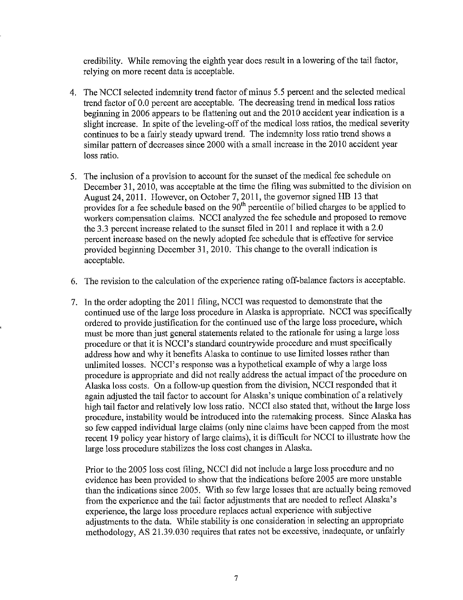credibility. While removing the eighth year does result in a lowering of the tail factor, relying on more recent data is acceptable.

- 4. The NCCI selected indemnity trend factor of minus 5.5 percent and the selected medical trend factor of 0.0 percent are acceptable. The decreasing trend in medical loss ratios beginning in 2006 appears to be flattening out and the 2010 accident year indication is a slight increase. In spite of the leveling-off of the medical loss ratios, the medical severity continues to be a fairly steady upward trend. The indemnity loss ratio trend shows a similar pattern of decreases since 2000 with a small increase in the 2010 accident year loss ratio.
- 5. The inclusion of a provision to account for the sunset of the medical fee schedule on December 31, 2010, was acceptable at the time the filing was submitted to the division on August 24, 2011. However, on October 7, 2011, the governor signed HB 13 that provides for a fee schedule based on the 90<sup>th</sup> percentile of billed charges to be applied to workers compensation claims. NCCI analyzed the fee schedule and proposed to remove the 3.3 percent increase related to the sunset filed in 2011 and replace it with a 2.0 percent increase based on the newly adopted fee schedule that is effective for service provided beginning December 31, 2010. This change to the overall indication is acceptable.
- 6. The revision to the calculation of the experience rating off-balance factors is acceptable.
- 7. In the order adopting the 2011 filing, NCCI was requested to demonstrate that the continued use of the large loss procedure in Alaska is appropriate. NCCI was specifically ordered to provide justification for the continued use of the large loss procedure, which must be more than just general statements related to the rationale for using a large loss procedure or that it is NCCI's standard countrywide procedure and must specifically address how and why it benefits Alaska to continue to use limited losses rather than unlimited losses. NCCI's response was a hypothetical example of why a large loss procedure is appropriate and did not really address the actual impact of the procedure on Alaska loss costs. On a follow-up question from the division, NCCI responded that it again adjusted the tail factor to account for Alaska's unique combination of a relatively high tail factor and relatively low loss ratio. NCCI also stated that, without the large loss procedure, instability would be introduced into the ratemaking process. Since Alaska has so few capped individual large claims (only nine claims have been capped from the most recent 19 policy year history of large claims), it is difficult for NCCI to illustrate how the large loss procedure stabilizes the loss cost changes in Alaska.

Prior to the 2005 loss cost filing, NCCI did not include a large loss procedure and no evidence has been provided to show that the indications before 2005 are more unstable than the indications since 2005. With so few large losses that are actually being removed from the experience and the tail factor adjustments that are needed to reflect Alaska's experience, the large loss procedure replaces actual experience with subjective adjustments to the data. While stability is one consideration in selecting an appropriate methodology, AS 21.39.030 requires that rates not be excessive, inadequate, or unfairly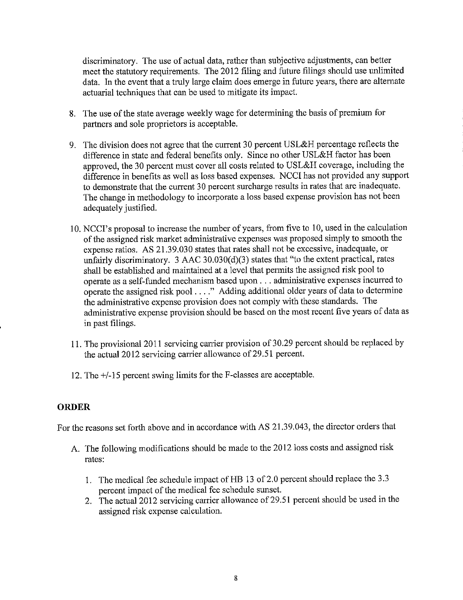discriminatory. The use of actual data, rather than subjective adjustments, can better meet the statutory requirements. The 2012 filing and future filings should use unlimited data. In the event that a truly large claim does emerge in future years, there are alternate actuarial techniques that can be used to mitigate its impact.

- 8. The use of the state average weekly wage for determining the basis of premium for partners and sole proprietors is acceptable.
- 9. The division does not agree that the current 30 percent USL&H percentage reflects the difference in state and federal benefits only. Since no other USL&H factor has been approved, the 30 percent must cover all costs related to USL&H coverage, including the difference in benefits as well as loss based expenses. NCCI has not provided any support to demonstrate that the current 30 percent surcharge results in rates that are inadequate. The change in methodology to incorporate a loss based expense provision has not been adequately justified.
- 10. NCCI's proposal to increase the number of years, from five to 10, used in the calculation of the assigned risk market administrative expenses was proposed simply to smooth the expense ratios. AS 21.39.030 states that rates shall not be excessive, inadequate, or unfairly discriminatory. 3 AAC 30.030(d)(3) states that "to the extent practical, rates shall be established and maintained at a level that permits the assigned risk pool to operate as a self-funded mechanism based upon . . . administrative expenses incurred to operate the assigned risk pool . . . ." Adding additional older years of data to determine the administrative expense provision does not comply with these standards. The administrative expense provision should be based on the most recent five years of data as in past filings.
- 11. The provisional 2011 servicing carrier provision of 30.29 percent should be replaced by the actual 2012 servicing carrier allowance of 29.51 percent.
- 12. The +/-15 percent swing limits for the F-classes are acceptable.

#### **ORDER**

For the reasons set forth above and in accordance with AS 21.39.043, the director orders that

- A. The following modifications should be made to the 2012 loss costs and assigned risk rates:
	- 1. The medical fee schedule impact of HB 13 of 2.0 percent should replace the 3.3 percent impact of the medical fee schedule sunset.
	- 2. The actual 2012 servicing carrier allowance of 29.51 percent should be used in the assigned risk expense calculation.